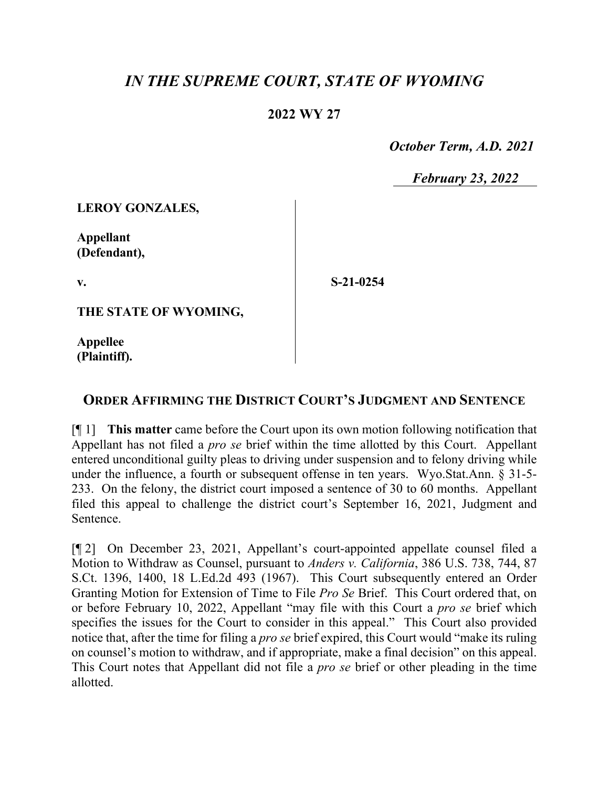## *IN THE SUPREME COURT, STATE OF WYOMING*

## **2022 WY 27**

 *October Term, A.D. 2021*

*February 23, 2022*

**LEROY GONZALES,**

**Appellant (Defendant),**

**v.**

**S-21-0254**

**THE STATE OF WYOMING,**

**Appellee (Plaintiff).**

## **ORDER AFFIRMING THE DISTRICT COURT'S JUDGMENT AND SENTENCE**

[¶ 1] **This matter** came before the Court upon its own motion following notification that Appellant has not filed a *pro se* brief within the time allotted by this Court. Appellant entered unconditional guilty pleas to driving under suspension and to felony driving while under the influence, a fourth or subsequent offense in ten years. Wyo.Stat.Ann. § 31-5- 233. On the felony, the district court imposed a sentence of 30 to 60 months. Appellant filed this appeal to challenge the district court's September 16, 2021, Judgment and Sentence.

[¶ 2] On December 23, 2021, Appellant's court-appointed appellate counsel filed a Motion to Withdraw as Counsel, pursuant to *Anders v. California*, 386 U.S. 738, 744, 87 S.Ct. 1396, 1400, 18 L.Ed.2d 493 (1967). This Court subsequently entered an Order Granting Motion for Extension of Time to File *Pro Se* Brief. This Court ordered that, on or before February 10, 2022, Appellant "may file with this Court a *pro se* brief which specifies the issues for the Court to consider in this appeal." This Court also provided notice that, after the time for filing a *pro se* brief expired, this Court would "make its ruling on counsel's motion to withdraw, and if appropriate, make a final decision" on this appeal. This Court notes that Appellant did not file a *pro se* brief or other pleading in the time allotted.